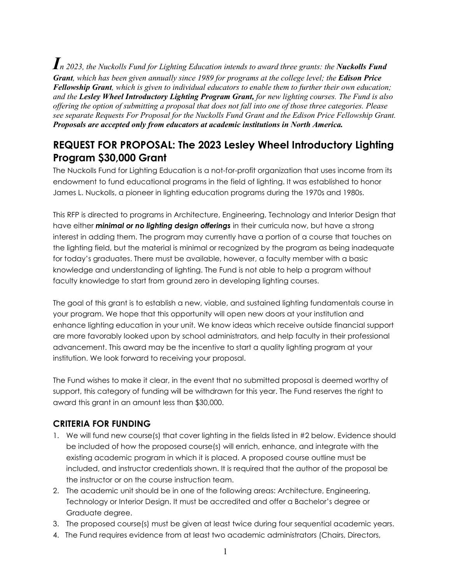*In 2023, the Nuckolls Fund for Lighting Education intends to award three grants: the Nuckolls Fund Grant, which has been given annually since 1989 for programs at the college level; the Edison Price Fellowship Grant, which is given to individual educators to enable them to further their own education; and the Lesley Wheel Introductory Lighting Program Grant, for new lighting courses. The Fund is also offering the option of submitting a proposal that does not fall into one of those three categories. Please see separate Requests For Proposal for the Nuckolls Fund Grant and the Edison Price Fellowship Grant. Proposals are accepted only from educators at academic institutions in North America.*

# **REQUEST FOR PROPOSAL: The 2023 Lesley Wheel Introductory Lighting Program \$30,000 Grant**

The Nuckolls Fund for Lighting Education is a not-for-profit organization that uses income from its endowment to fund educational programs in the field of lighting. It was established to honor James L. Nuckolls, a pioneer in lighting education programs during the 1970s and 1980s.

This RFP is directed to programs in Architecture, Engineering, Technology and Interior Design that have either *minimal or no lighting design offerings* in their curricula now, but have a strong interest in adding them. The program may currently have a portion of a course that touches on the lighting field, but the material is minimal or recognized by the program as being inadequate for today's graduates. There must be available, however, a faculty member with a basic knowledge and understanding of lighting. The Fund is not able to help a program without faculty knowledge to start from ground zero in developing lighting courses.

The goal of this grant is to establish a new, viable, and sustained lighting fundamentals course in your program. We hope that this opportunity will open new doors at your institution and enhance lighting education in your unit. We know ideas which receive outside financial support are more favorably looked upon by school administrators, and help faculty in their professional advancement. This award may be the incentive to start a quality lighting program at your institution. We look forward to receiving your proposal.

The Fund wishes to make it clear, in the event that no submitted proposal is deemed worthy of support, this category of funding will be withdrawn for this year. The Fund reserves the right to award this grant in an amount less than \$30,000.

### **CRITERIA FOR FUNDING**

- 1. We will fund new course(s) that cover lighting in the fields listed in #2 below. Evidence should be included of how the proposed course(s) will enrich, enhance, and integrate with the existing academic program in which it is placed. A proposed course outline must be included, and instructor credentials shown. It is required that the author of the proposal be the instructor or on the course instruction team.
- 2. The academic unit should be in one of the following areas: Architecture, Engineering, Technology or Interior Design. It must be accredited and offer a Bachelor's degree or Graduate degree.
- 3. The proposed course(s) must be given at least twice during four sequential academic years.
- 4. The Fund requires evidence from at least two academic administrators (Chairs, Directors,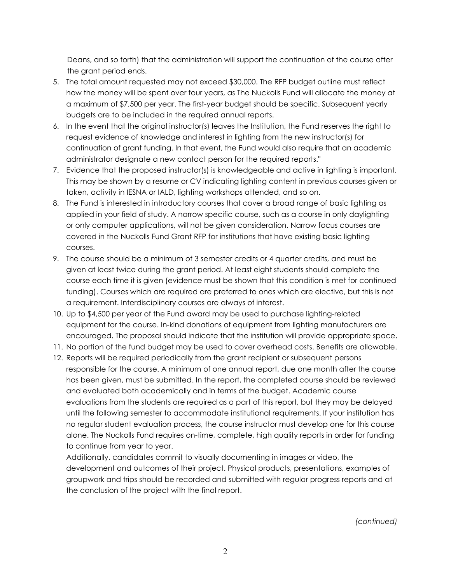Deans, and so forth) that the administration will support the continuation of the course after the grant period ends.

- 5. The total amount requested may not exceed \$30,000. The RFP budget outline must reflect how the money will be spent over four years, as The Nuckolls Fund will allocate the money at a maximum of \$7,500 per year. The first-year budget should be specific. Subsequent yearly budgets are to be included in the required annual reports.
- 6. In the event that the original instructor(s) leaves the Institution, the Fund reserves the right to request evidence of knowledge and interest in lighting from the new instructor(s) for continuation of grant funding. In that event, the Fund would also require that an academic administrator designate a new contact person for the required reports."
- 7. Evidence that the proposed instructor(s) is knowledgeable and active in lighting is important. This may be shown by a resume or CV indicating lighting content in previous courses given or taken, activity in IESNA or IALD, lighting workshops attended, and so on.
- 8. The Fund is interested in introductory courses that cover a broad range of basic lighting as applied in your field of study. A narrow specific course, such as a course in only daylighting or only computer applications, will not be given consideration. Narrow focus courses are covered in the Nuckolls Fund Grant RFP for institutions that have existing basic lighting courses.
- 9. The course should be a minimum of 3 semester credits or 4 quarter credits, and must be given at least twice during the grant period. At least eight students should complete the course each time it is given (evidence must be shown that this condition is met for continued funding). Courses which are required are preferred to ones which are elective, but this is not a requirement. Interdisciplinary courses are always of interest.
- 10. Up to \$4,500 per year of the Fund award may be used to purchase lighting-related equipment for the course. In-kind donations of equipment from lighting manufacturers are encouraged. The proposal should indicate that the institution will provide appropriate space.
- 11. No portion of the fund budget may be used to cover overhead costs. Benefits are allowable.
- 12. Reports will be required periodically from the grant recipient or subsequent persons responsible for the course. A minimum of one annual report, due one month after the course has been given, must be submitted. In the report, the completed course should be reviewed and evaluated both academically and in terms of the budget. Academic course evaluations from the students are required as a part of this report, but they may be delayed until the following semester to accommodate institutional requirements. If your institution has no regular student evaluation process, the course instructor must develop one for this course alone. The Nuckolls Fund requires on-time, complete, high quality reports in order for funding to continue from year to year.

Additionally, candidates commit to visually documenting in images or video, the development and outcomes of their project. Physical products, presentations, examples of groupwork and trips should be recorded and submitted with regular progress reports and at the conclusion of the project with the final report.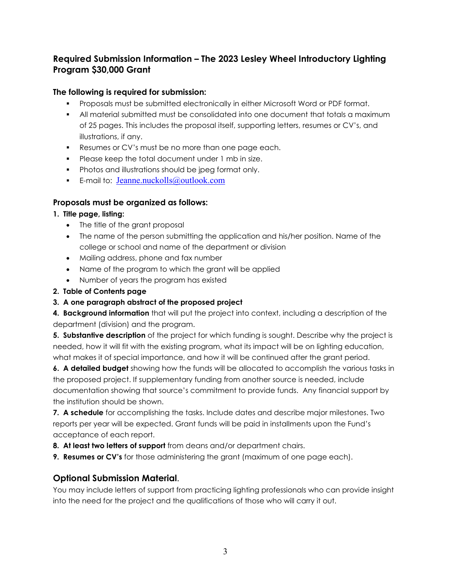### **Required Submission Information – The 2023 Lesley Wheel Introductory Lighting Program \$30,000 Grant**

#### **The following is required for submission:**

- Proposals must be submitted electronically in either Microsoft Word or PDF format.
- All material submitted must be consolidated into one document that totals a maximum of 25 pages. This includes the proposal itself, supporting letters, resumes or CV's, and illustrations, if any.
- Resumes or CV's must be no more than one page each.
- **Please keep the total document under 1 mb in size.**
- **Photos and illustrations should be jpeg format only.**
- E-mail to: [Jeanne.nuckolls@outlook.com](mailto:Jeanne.nuckolls@outlook.com)

#### **Proposals must be organized as follows:**

#### **1. Title page, listing:**

- The title of the grant proposal
- The name of the person submitting the application and his/her position. Name of the college or school and name of the department or division
- Mailing address, phone and fax number
- Name of the program to which the grant will be applied
- Number of years the program has existed

#### **2. Table of Contents page**

### **3. A one paragraph abstract of the proposed project**

**4. Background information** that will put the project into context, including a description of the department (division) and the program.

**5. Substantive description** of the project for which funding is sought. Describe why the project is needed, how it will fit with the existing program, what its impact will be on lighting education, what makes it of special importance, and how it will be continued after the grant period.

**6. A detailed budget** showing how the funds will be allocated to accomplish the various tasks in the proposed project. If supplementary funding from another source is needed, include documentation showing that source's commitment to provide funds. Any financial support by the institution should be shown.

**7. A schedule** for accomplishing the tasks. Include dates and describe major milestones. Two reports per year will be expected. Grant funds will be paid in installments upon the Fund's acceptance of each report.

- **8. At least two letters of support** from deans and/or department chairs.
- **9. Resumes or CV's** for those administering the grant (maximum of one page each).

## **Optional Submission Material**.

You may include letters of support from practicing lighting professionals who can provide insight into the need for the project and the qualifications of those who will carry it out.